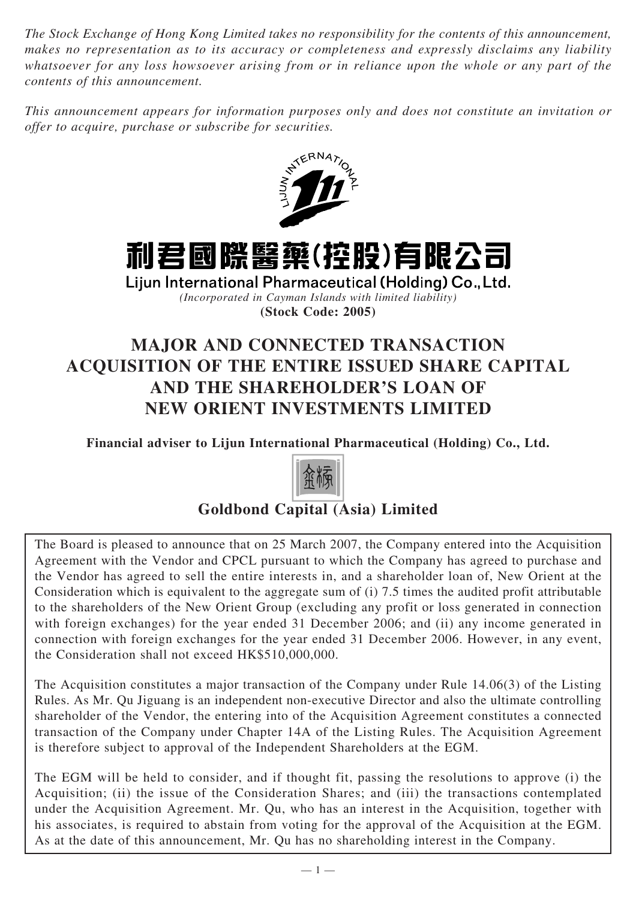*The Stock Exchange of Hong Kong Limited takes no responsibility for the contents of this announcement, makes no representation as to its accuracy or completeness and expressly disclaims any liability whatsoever for any loss howsoever arising from or in reliance upon the whole or any part of the contents of this announcement.*

*This announcement appears for information purposes only and does not constitute an invitation or offer to acquire, purchase or subscribe for securities.*





Lijun International Pharmaceutical (Holding) Co., Ltd. *(Incorporated in Cayman Islands with limited liability)* **(Stock Code: 2005)**

# **MAJOR AND CONNECTED TRANSACTION ACQUISITION OF THE ENTIRE ISSUED SHARE CAPITAL AND THE SHAREHOLDER'S LOAN OF NEW ORIENT INVESTMENTS LIMITED**

**Financial adviser to Lijun International Pharmaceutical (Holding) Co., Ltd.**



## **Goldbond Capital (Asia) Limited**

The Board is pleased to announce that on 25 March 2007, the Company entered into the Acquisition Agreement with the Vendor and CPCL pursuant to which the Company has agreed to purchase and the Vendor has agreed to sell the entire interests in, and a shareholder loan of, New Orient at the Consideration which is equivalent to the aggregate sum of (i) 7.5 times the audited profit attributable to the shareholders of the New Orient Group (excluding any profit or loss generated in connection with foreign exchanges) for the year ended 31 December 2006; and (ii) any income generated in connection with foreign exchanges for the year ended 31 December 2006. However, in any event, the Consideration shall not exceed HK\$510,000,000.

The Acquisition constitutes a major transaction of the Company under Rule 14.06(3) of the Listing Rules. As Mr. Qu Jiguang is an independent non-executive Director and also the ultimate controlling shareholder of the Vendor, the entering into of the Acquisition Agreement constitutes a connected transaction of the Company under Chapter 14A of the Listing Rules. The Acquisition Agreement is therefore subject to approval of the Independent Shareholders at the EGM.

The EGM will be held to consider, and if thought fit, passing the resolutions to approve (i) the Acquisition; (ii) the issue of the Consideration Shares; and (iii) the transactions contemplated under the Acquisition Agreement. Mr. Qu, who has an interest in the Acquisition, together with his associates, is required to abstain from voting for the approval of the Acquisition at the EGM. As at the date of this announcement, Mr. Qu has no shareholding interest in the Company.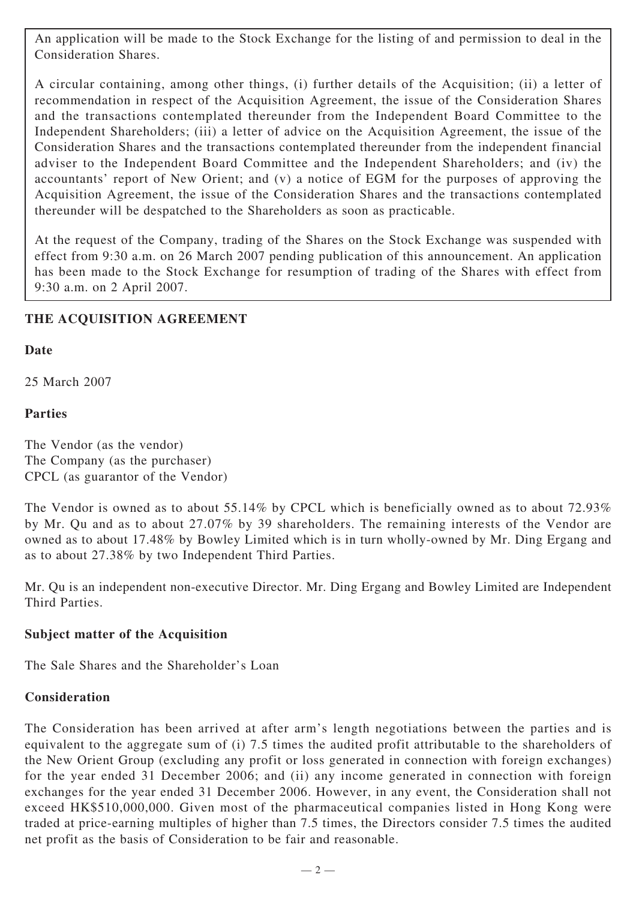An application will be made to the Stock Exchange for the listing of and permission to deal in the Consideration Shares.

A circular containing, among other things, (i) further details of the Acquisition; (ii) a letter of recommendation in respect of the Acquisition Agreement, the issue of the Consideration Shares and the transactions contemplated thereunder from the Independent Board Committee to the Independent Shareholders; (iii) a letter of advice on the Acquisition Agreement, the issue of the Consideration Shares and the transactions contemplated thereunder from the independent financial adviser to the Independent Board Committee and the Independent Shareholders; and (iv) the accountants' report of New Orient; and (v) a notice of EGM for the purposes of approving the Acquisition Agreement, the issue of the Consideration Shares and the transactions contemplated thereunder will be despatched to the Shareholders as soon as practicable.

At the request of the Company, trading of the Shares on the Stock Exchange was suspended with effect from 9:30 a.m. on 26 March 2007 pending publication of this announcement. An application has been made to the Stock Exchange for resumption of trading of the Shares with effect from 9:30 a.m. on 2 April 2007.

#### **THE ACQUISITION AGREEMENT**

#### **Date**

25 March 2007

#### **Parties**

The Vendor (as the vendor) The Company (as the purchaser) CPCL (as guarantor of the Vendor)

The Vendor is owned as to about 55.14% by CPCL which is beneficially owned as to about 72.93% by Mr. Qu and as to about 27.07% by 39 shareholders. The remaining interests of the Vendor are owned as to about 17.48% by Bowley Limited which is in turn wholly-owned by Mr. Ding Ergang and as to about 27.38% by two Independent Third Parties.

Mr. Qu is an independent non-executive Director. Mr. Ding Ergang and Bowley Limited are Independent Third Parties.

#### **Subject matter of the Acquisition**

The Sale Shares and the Shareholder's Loan

#### **Consideration**

The Consideration has been arrived at after arm's length negotiations between the parties and is equivalent to the aggregate sum of (i) 7.5 times the audited profit attributable to the shareholders of the New Orient Group (excluding any profit or loss generated in connection with foreign exchanges) for the year ended 31 December 2006; and (ii) any income generated in connection with foreign exchanges for the year ended 31 December 2006. However, in any event, the Consideration shall not exceed HK\$510,000,000. Given most of the pharmaceutical companies listed in Hong Kong were traded at price-earning multiples of higher than 7.5 times, the Directors consider 7.5 times the audited net profit as the basis of Consideration to be fair and reasonable.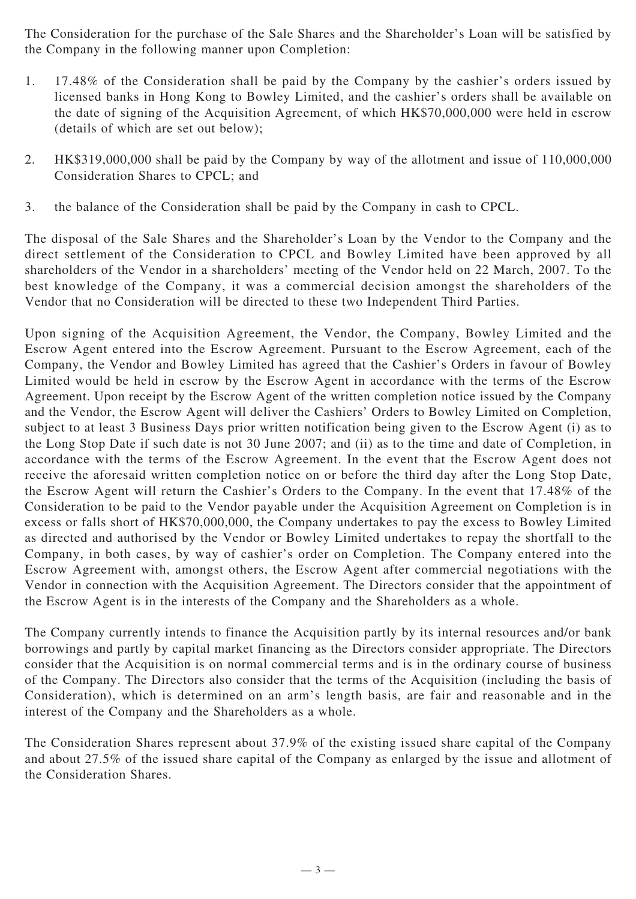The Consideration for the purchase of the Sale Shares and the Shareholder's Loan will be satisfied by the Company in the following manner upon Completion:

- 1. 17.48% of the Consideration shall be paid by the Company by the cashier's orders issued by licensed banks in Hong Kong to Bowley Limited, and the cashier's orders shall be available on the date of signing of the Acquisition Agreement, of which HK\$70,000,000 were held in escrow (details of which are set out below);
- 2. HK\$319,000,000 shall be paid by the Company by way of the allotment and issue of 110,000,000 Consideration Shares to CPCL; and
- 3. the balance of the Consideration shall be paid by the Company in cash to CPCL.

The disposal of the Sale Shares and the Shareholder's Loan by the Vendor to the Company and the direct settlement of the Consideration to CPCL and Bowley Limited have been approved by all shareholders of the Vendor in a shareholders' meeting of the Vendor held on 22 March, 2007. To the best knowledge of the Company, it was a commercial decision amongst the shareholders of the Vendor that no Consideration will be directed to these two Independent Third Parties.

Upon signing of the Acquisition Agreement, the Vendor, the Company, Bowley Limited and the Escrow Agent entered into the Escrow Agreement. Pursuant to the Escrow Agreement, each of the Company, the Vendor and Bowley Limited has agreed that the Cashier's Orders in favour of Bowley Limited would be held in escrow by the Escrow Agent in accordance with the terms of the Escrow Agreement. Upon receipt by the Escrow Agent of the written completion notice issued by the Company and the Vendor, the Escrow Agent will deliver the Cashiers' Orders to Bowley Limited on Completion, subject to at least 3 Business Days prior written notification being given to the Escrow Agent (i) as to the Long Stop Date if such date is not 30 June 2007; and (ii) as to the time and date of Completion, in accordance with the terms of the Escrow Agreement. In the event that the Escrow Agent does not receive the aforesaid written completion notice on or before the third day after the Long Stop Date, the Escrow Agent will return the Cashier's Orders to the Company. In the event that 17.48% of the Consideration to be paid to the Vendor payable under the Acquisition Agreement on Completion is in excess or falls short of HK\$70,000,000, the Company undertakes to pay the excess to Bowley Limited as directed and authorised by the Vendor or Bowley Limited undertakes to repay the shortfall to the Company, in both cases, by way of cashier's order on Completion. The Company entered into the Escrow Agreement with, amongst others, the Escrow Agent after commercial negotiations with the Vendor in connection with the Acquisition Agreement. The Directors consider that the appointment of the Escrow Agent is in the interests of the Company and the Shareholders as a whole.

The Company currently intends to finance the Acquisition partly by its internal resources and/or bank borrowings and partly by capital market financing as the Directors consider appropriate. The Directors consider that the Acquisition is on normal commercial terms and is in the ordinary course of business of the Company. The Directors also consider that the terms of the Acquisition (including the basis of Consideration), which is determined on an arm's length basis, are fair and reasonable and in the interest of the Company and the Shareholders as a whole.

The Consideration Shares represent about 37.9% of the existing issued share capital of the Company and about 27.5% of the issued share capital of the Company as enlarged by the issue and allotment of the Consideration Shares.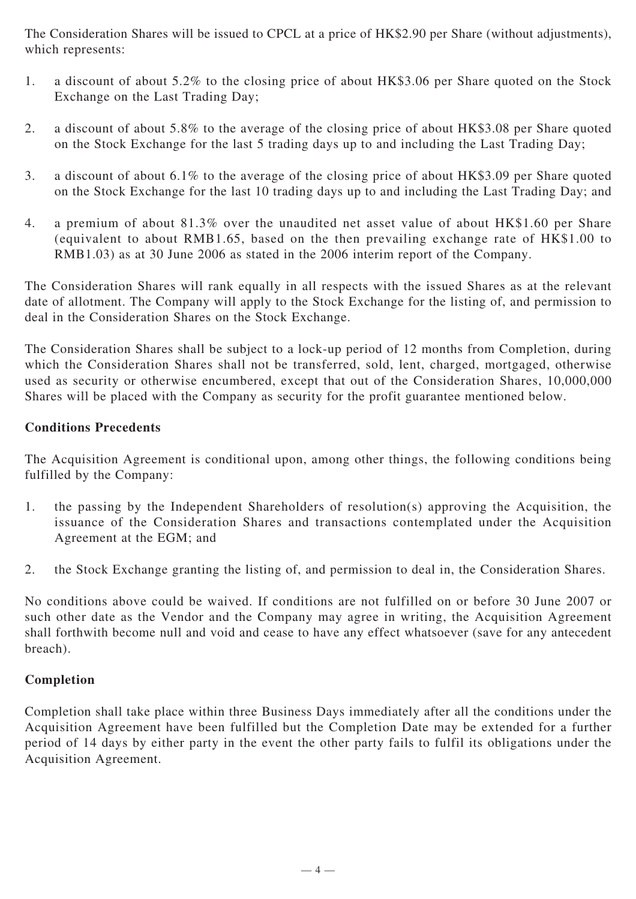The Consideration Shares will be issued to CPCL at a price of HK\$2.90 per Share (without adjustments), which represents:

- 1. a discount of about 5.2% to the closing price of about HK\$3.06 per Share quoted on the Stock Exchange on the Last Trading Day;
- 2. a discount of about 5.8% to the average of the closing price of about HK\$3.08 per Share quoted on the Stock Exchange for the last 5 trading days up to and including the Last Trading Day;
- 3. a discount of about 6.1% to the average of the closing price of about HK\$3.09 per Share quoted on the Stock Exchange for the last 10 trading days up to and including the Last Trading Day; and
- 4. a premium of about 81.3% over the unaudited net asset value of about HK\$1.60 per Share (equivalent to about RMB1.65, based on the then prevailing exchange rate of HK\$1.00 to RMB1.03) as at 30 June 2006 as stated in the 2006 interim report of the Company.

The Consideration Shares will rank equally in all respects with the issued Shares as at the relevant date of allotment. The Company will apply to the Stock Exchange for the listing of, and permission to deal in the Consideration Shares on the Stock Exchange.

The Consideration Shares shall be subject to a lock-up period of 12 months from Completion, during which the Consideration Shares shall not be transferred, sold, lent, charged, mortgaged, otherwise used as security or otherwise encumbered, except that out of the Consideration Shares, 10,000,000 Shares will be placed with the Company as security for the profit guarantee mentioned below.

#### **Conditions Precedents**

The Acquisition Agreement is conditional upon, among other things, the following conditions being fulfilled by the Company:

- 1. the passing by the Independent Shareholders of resolution(s) approving the Acquisition, the issuance of the Consideration Shares and transactions contemplated under the Acquisition Agreement at the EGM; and
- 2. the Stock Exchange granting the listing of, and permission to deal in, the Consideration Shares.

No conditions above could be waived. If conditions are not fulfilled on or before 30 June 2007 or such other date as the Vendor and the Company may agree in writing, the Acquisition Agreement shall forthwith become null and void and cease to have any effect whatsoever (save for any antecedent breach).

#### **Completion**

Completion shall take place within three Business Days immediately after all the conditions under the Acquisition Agreement have been fulfilled but the Completion Date may be extended for a further period of 14 days by either party in the event the other party fails to fulfil its obligations under the Acquisition Agreement.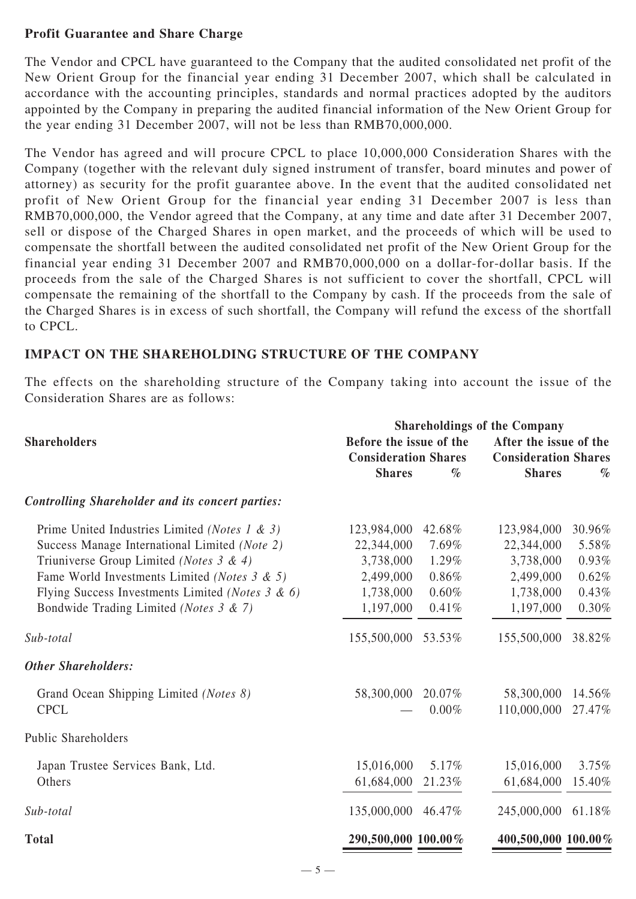#### **Profit Guarantee and Share Charge**

The Vendor and CPCL have guaranteed to the Company that the audited consolidated net profit of the New Orient Group for the financial year ending 31 December 2007, which shall be calculated in accordance with the accounting principles, standards and normal practices adopted by the auditors appointed by the Company in preparing the audited financial information of the New Orient Group for the year ending 31 December 2007, will not be less than RMB70,000,000.

The Vendor has agreed and will procure CPCL to place 10,000,000 Consideration Shares with the Company (together with the relevant duly signed instrument of transfer, board minutes and power of attorney) as security for the profit guarantee above. In the event that the audited consolidated net profit of New Orient Group for the financial year ending 31 December 2007 is less than RMB70,000,000, the Vendor agreed that the Company, at any time and date after 31 December 2007, sell or dispose of the Charged Shares in open market, and the proceeds of which will be used to compensate the shortfall between the audited consolidated net profit of the New Orient Group for the financial year ending 31 December 2007 and RMB70,000,000 on a dollar-for-dollar basis. If the proceeds from the sale of the Charged Shares is not sufficient to cover the shortfall, CPCL will compensate the remaining of the shortfall to the Company by cash. If the proceeds from the sale of the Charged Shares is in excess of such shortfall, the Company will refund the excess of the shortfall to CPCL.

#### **IMPACT ON THE SHAREHOLDING STRUCTURE OF THE COMPANY**

The effects on the shareholding structure of the Company taking into account the issue of the Consideration Shares are as follows:

|                                                         | <b>Shareholdings of the Company</b>                    |        |                                                       |        |
|---------------------------------------------------------|--------------------------------------------------------|--------|-------------------------------------------------------|--------|
| <b>Shareholders</b>                                     | Before the issue of the<br><b>Consideration Shares</b> |        | After the issue of the<br><b>Consideration Shares</b> |        |
|                                                         |                                                        |        |                                                       |        |
|                                                         | <b>Shares</b>                                          | $\%$   | <b>Shares</b>                                         | $\%$   |
| <b>Controlling Shareholder and its concert parties:</b> |                                                        |        |                                                       |        |
| Prime United Industries Limited (Notes 1 & 3)           | 123,984,000                                            | 42.68% | 123,984,000                                           | 30.96% |
| Success Manage International Limited (Note 2)           | 22,344,000                                             | 7.69%  | 22,344,000                                            | 5.58%  |
| Triuniverse Group Limited (Notes $3 \& 4$ )             | 3,738,000                                              | 1.29%  | 3,738,000                                             | 0.93%  |
| Fame World Investments Limited (Notes 3 & 5)            | 2,499,000                                              | 0.86%  | 2,499,000                                             | 0.62%  |
| Flying Success Investments Limited (Notes $3 \& 6$ )    | 1,738,000                                              | 0.60%  | 1,738,000                                             | 0.43%  |
| Bondwide Trading Limited (Notes 3 & 7)                  | 1,197,000                                              | 0.41%  | 1,197,000                                             | 0.30%  |
| Sub-total                                               | 155,500,000                                            | 53.53% | 155,500,000                                           | 38.82% |
| <b>Other Shareholders:</b>                              |                                                        |        |                                                       |        |
| Grand Ocean Shipping Limited (Notes 8)                  | 58,300,000                                             | 20.07% | 58,300,000                                            | 14.56% |
| <b>CPCL</b>                                             |                                                        | 0.00%  | 110,000,000                                           | 27.47% |
| <b>Public Shareholders</b>                              |                                                        |        |                                                       |        |
| Japan Trustee Services Bank, Ltd.                       | 15,016,000                                             | 5.17%  | 15,016,000                                            | 3.75%  |
| Others                                                  | 61,684,000                                             | 21.23% | 61,684,000                                            | 15.40% |
| Sub-total                                               | 135,000,000                                            | 46.47% | 245,000,000                                           | 61.18% |
| <b>Total</b>                                            | 290,500,000 100.00%                                    |        | 400,500,000 100.00%                                   |        |
|                                                         |                                                        |        |                                                       |        |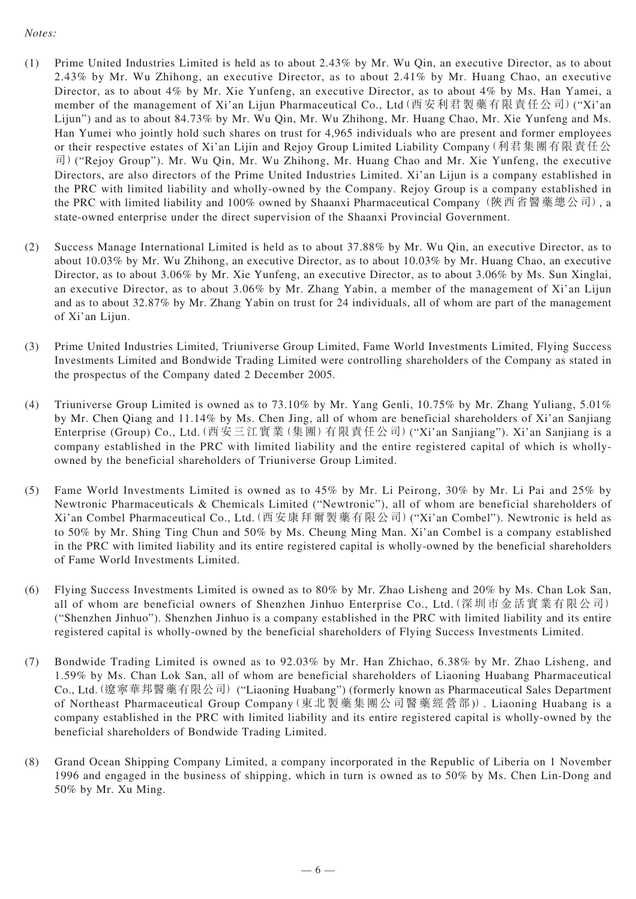#### *Notes:*

- (1) Prime United Industries Limited is held as to about 2.43% by Mr. Wu Qin, an executive Director, as to about 2.43% by Mr. Wu Zhihong, an executive Director, as to about 2.41% by Mr. Huang Chao, an executive Director, as to about 4% by Mr. Xie Yunfeng, an executive Director, as to about 4% by Ms. Han Yamei, a member of the management of Xi'an Lijun Pharmaceutical Co., Ltd(西安利君製藥有限責任公司)("Xi'an Lijun") and as to about 84.73% by Mr. Wu Qin, Mr. Wu Zhihong, Mr. Huang Chao, Mr. Xie Yunfeng and Ms. Han Yumei who jointly hold such shares on trust for 4,965 individuals who are present and former employees or their respective estates of Xi'an Lijin and Rejoy Group Limited Liability Company(利君集團有限責任公 司)("Rejoy Group"). Mr. Wu Qin, Mr. Wu Zhihong, Mr. Huang Chao and Mr. Xie Yunfeng, the executive Directors, are also directors of the Prime United Industries Limited. Xi'an Lijun is a company established in the PRC with limited liability and wholly-owned by the Company. Rejoy Group is a company established in the PRC with limited liability and 100% owned by Shaanxi Pharmaceutical Company (陜西省醫藥總公司), a state-owned enterprise under the direct supervision of the Shaanxi Provincial Government.
- (2) Success Manage International Limited is held as to about 37.88% by Mr. Wu Qin, an executive Director, as to about 10.03% by Mr. Wu Zhihong, an executive Director, as to about 10.03% by Mr. Huang Chao, an executive Director, as to about 3.06% by Mr. Xie Yunfeng, an executive Director, as to about 3.06% by Ms. Sun Xinglai, an executive Director, as to about 3.06% by Mr. Zhang Yabin, a member of the management of Xi'an Lijun and as to about 32.87% by Mr. Zhang Yabin on trust for 24 individuals, all of whom are part of the management of Xi'an Lijun.
- (3) Prime United Industries Limited, Triuniverse Group Limited, Fame World Investments Limited, Flying Success Investments Limited and Bondwide Trading Limited were controlling shareholders of the Company as stated in the prospectus of the Company dated 2 December 2005.
- (4) Triuniverse Group Limited is owned as to 73.10% by Mr. Yang Genli, 10.75% by Mr. Zhang Yuliang, 5.01% by Mr. Chen Qiang and 11.14% by Ms. Chen Jing, all of whom are beneficial shareholders of Xi'an Sanjiang Enterprise (Group) Co., Ltd.(西安三江實業(集團)有限責任公司)("Xi'an Sanjiang"). Xi'an Sanjiang is a company established in the PRC with limited liability and the entire registered capital of which is whollyowned by the beneficial shareholders of Triuniverse Group Limited.
- (5) Fame World Investments Limited is owned as to 45% by Mr. Li Peirong, 30% by Mr. Li Pai and 25% by Newtronic Pharmaceuticals & Chemicals Limited ("Newtronic"), all of whom are beneficial shareholders of Xi'an Combel Pharmaceutical Co., Ltd.(西安康拜爾製藥有限公司)("Xi'an Combel"). Newtronic is held as to 50% by Mr. Shing Ting Chun and 50% by Ms. Cheung Ming Man. Xi'an Combel is a company established in the PRC with limited liability and its entire registered capital is wholly-owned by the beneficial shareholders of Fame World Investments Limited.
- (6) Flying Success Investments Limited is owned as to 80% by Mr. Zhao Lisheng and 20% by Ms. Chan Lok San, all of whom are beneficial owners of Shenzhen Jinhuo Enterprise Co., Ltd.(深圳市金活實業有限公司) ("Shenzhen Jinhuo"). Shenzhen Jinhuo is a company established in the PRC with limited liability and its entire registered capital is wholly-owned by the beneficial shareholders of Flying Success Investments Limited.
- (7) Bondwide Trading Limited is owned as to 92.03% by Mr. Han Zhichao, 6.38% by Mr. Zhao Lisheng, and 1.59% by Ms. Chan Lok San, all of whom are beneficial shareholders of Liaoning Huabang Pharmaceutical Co., Ltd.(遼寧華邦醫藥有限公司) ("Liaoning Huabang") (formerly known as Pharmaceutical Sales Department of Northeast Pharmaceutical Group Company(東北製藥集團公司醫藥經營部)). Liaoning Huabang is a company established in the PRC with limited liability and its entire registered capital is wholly-owned by the beneficial shareholders of Bondwide Trading Limited.
- (8) Grand Ocean Shipping Company Limited, a company incorporated in the Republic of Liberia on 1 November 1996 and engaged in the business of shipping, which in turn is owned as to 50% by Ms. Chen Lin-Dong and 50% by Mr. Xu Ming.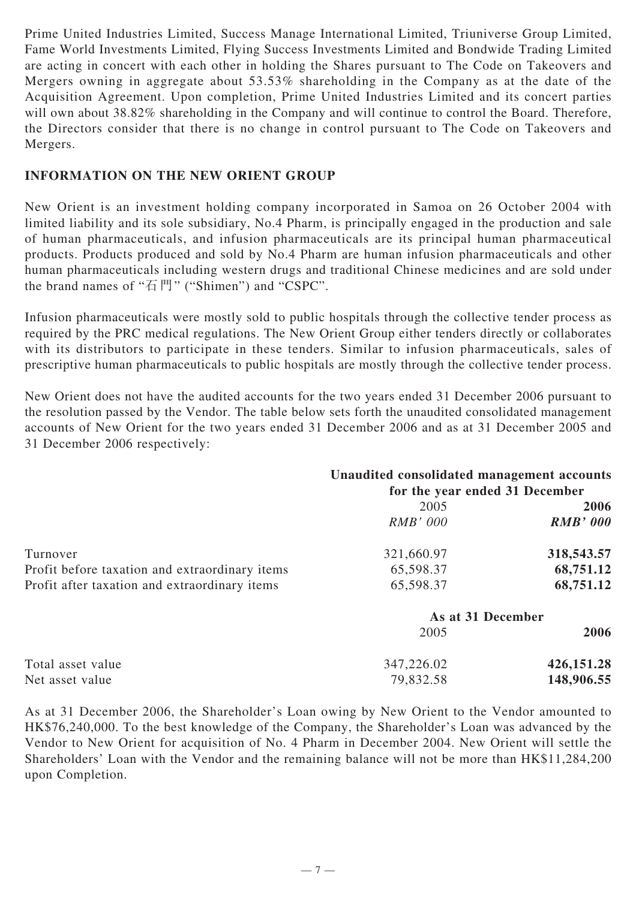Prime United Industries Limited, Success Manage International Limited, Triuniverse Group Limited, Fame World Investments Limited, Flying Success Investments Limited and Bondwide Trading Limited are acting in concert with each other in holding the Shares pursuant to The Code on Takeovers and Mergers owning in aggregate about 53.53% shareholding in the Company as at the date of the Acquisition Agreement. Upon completion, Prime United Industries Limited and its concert parties will own about 38.82% shareholding in the Company and will continue to control the Board. Therefore, the Directors consider that there is no change in control pursuant to The Code on Takeovers and Mergers.

#### **INFORMATION ON THE NEW ORIENT GROUP**

New Orient is an investment holding company incorporated in Samoa on 26 October 2004 with limited liability and its sole subsidiary, No.4 Pharm, is principally engaged in the production and sale of human pharmaceuticals, and infusion pharmaceuticals are its principal human pharmaceutical products. Products produced and sold by No.4 Pharm are human infusion pharmaceuticals and other human pharmaceuticals including western drugs and traditional Chinese medicines and are sold under the brand names of "石門" ("Shimen") and "CSPC".

Infusion pharmaceuticals were mostly sold to public hospitals through the collective tender process as required by the PRC medical regulations. The New Orient Group either tenders directly or collaborates with its distributors to participate in these tenders. Similar to infusion pharmaceuticals, sales of prescriptive human pharmaceuticals to public hospitals are mostly through the collective tender process.

New Orient does not have the audited accounts for the two years ended 31 December 2006 pursuant to the resolution passed by the Vendor. The table below sets forth the unaudited consolidated management accounts of New Orient for the two years ended 31 December 2006 and as at 31 December 2005 and 31 December 2006 respectively:

|                                                | Unaudited consolidated management accounts<br>for the year ended 31 December |                 |
|------------------------------------------------|------------------------------------------------------------------------------|-----------------|
|                                                | 2005                                                                         | 2006            |
|                                                | <b>RMB' 000</b>                                                              | <b>RMB' 000</b> |
| Turnover                                       | 321,660.97                                                                   | 318,543.57      |
| Profit before taxation and extraordinary items | 65,598.37                                                                    | 68,751.12       |
| Profit after taxation and extraordinary items  | 65,598.37                                                                    | 68,751.12       |
|                                                | As at 31 December                                                            |                 |
|                                                | 2005                                                                         | 2006            |
| Total asset value                              | 347,226.02                                                                   | 426,151.28      |
| Net asset value                                | 79,832.58                                                                    | 148,906.55      |

As at 31 December 2006, the Shareholder's Loan owing by New Orient to the Vendor amounted to HK\$76,240,000. To the best knowledge of the Company, the Shareholder's Loan was advanced by the Vendor to New Orient for acquisition of No. 4 Pharm in December 2004. New Orient will settle the Shareholders' Loan with the Vendor and the remaining balance will not be more than HK\$11,284,200 upon Completion.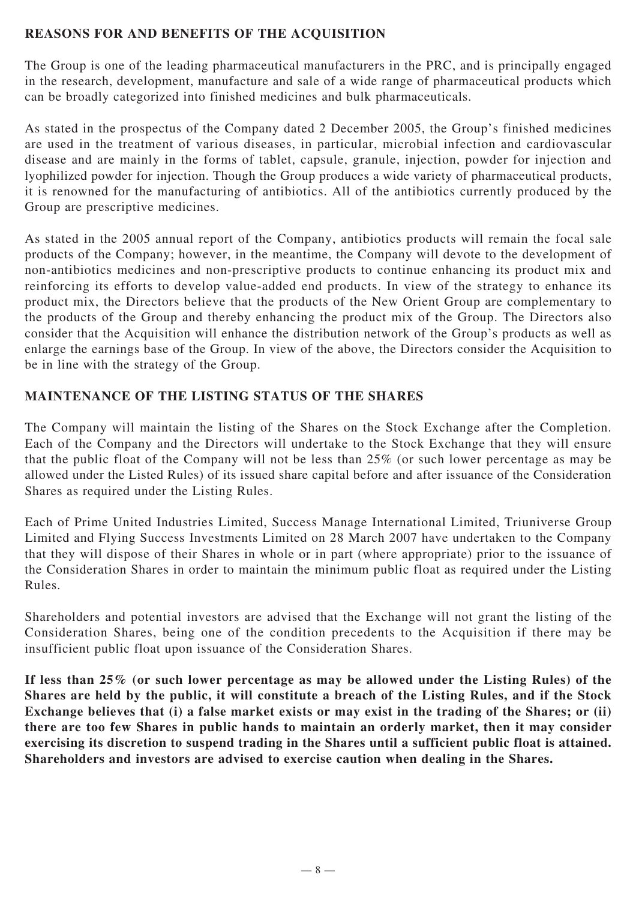#### **REASONS FOR AND BENEFITS OF THE ACQUISITION**

The Group is one of the leading pharmaceutical manufacturers in the PRC, and is principally engaged in the research, development, manufacture and sale of a wide range of pharmaceutical products which can be broadly categorized into finished medicines and bulk pharmaceuticals.

As stated in the prospectus of the Company dated 2 December 2005, the Group's finished medicines are used in the treatment of various diseases, in particular, microbial infection and cardiovascular disease and are mainly in the forms of tablet, capsule, granule, injection, powder for injection and lyophilized powder for injection. Though the Group produces a wide variety of pharmaceutical products, it is renowned for the manufacturing of antibiotics. All of the antibiotics currently produced by the Group are prescriptive medicines.

As stated in the 2005 annual report of the Company, antibiotics products will remain the focal sale products of the Company; however, in the meantime, the Company will devote to the development of non-antibiotics medicines and non-prescriptive products to continue enhancing its product mix and reinforcing its efforts to develop value-added end products. In view of the strategy to enhance its product mix, the Directors believe that the products of the New Orient Group are complementary to the products of the Group and thereby enhancing the product mix of the Group. The Directors also consider that the Acquisition will enhance the distribution network of the Group's products as well as enlarge the earnings base of the Group. In view of the above, the Directors consider the Acquisition to be in line with the strategy of the Group.

### **MAINTENANCE OF THE LISTING STATUS OF THE SHARES**

The Company will maintain the listing of the Shares on the Stock Exchange after the Completion. Each of the Company and the Directors will undertake to the Stock Exchange that they will ensure that the public float of the Company will not be less than 25% (or such lower percentage as may be allowed under the Listed Rules) of its issued share capital before and after issuance of the Consideration Shares as required under the Listing Rules.

Each of Prime United Industries Limited, Success Manage International Limited, Triuniverse Group Limited and Flying Success Investments Limited on 28 March 2007 have undertaken to the Company that they will dispose of their Shares in whole or in part (where appropriate) prior to the issuance of the Consideration Shares in order to maintain the minimum public float as required under the Listing Rules.

Shareholders and potential investors are advised that the Exchange will not grant the listing of the Consideration Shares, being one of the condition precedents to the Acquisition if there may be insufficient public float upon issuance of the Consideration Shares.

**If less than 25% (or such lower percentage as may be allowed under the Listing Rules) of the Shares are held by the public, it will constitute a breach of the Listing Rules, and if the Stock Exchange believes that (i) a false market exists or may exist in the trading of the Shares; or (ii) there are too few Shares in public hands to maintain an orderly market, then it may consider exercising its discretion to suspend trading in the Shares until a sufficient public float is attained. Shareholders and investors are advised to exercise caution when dealing in the Shares.**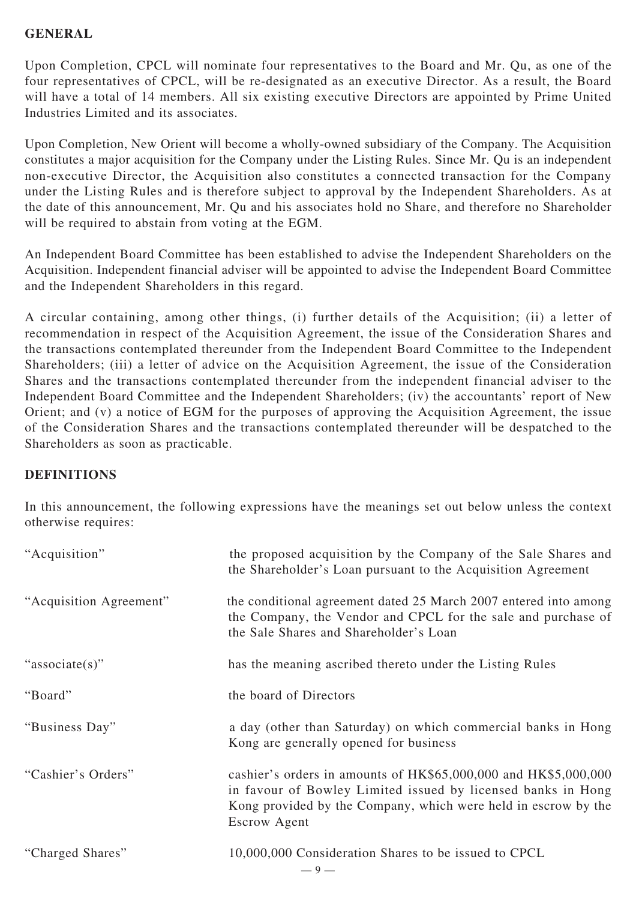#### **GENERAL**

Upon Completion, CPCL will nominate four representatives to the Board and Mr. Qu, as one of the four representatives of CPCL, will be re-designated as an executive Director. As a result, the Board will have a total of 14 members. All six existing executive Directors are appointed by Prime United Industries Limited and its associates.

Upon Completion, New Orient will become a wholly-owned subsidiary of the Company. The Acquisition constitutes a major acquisition for the Company under the Listing Rules. Since Mr. Qu is an independent non-executive Director, the Acquisition also constitutes a connected transaction for the Company under the Listing Rules and is therefore subject to approval by the Independent Shareholders. As at the date of this announcement, Mr. Qu and his associates hold no Share, and therefore no Shareholder will be required to abstain from voting at the EGM.

An Independent Board Committee has been established to advise the Independent Shareholders on the Acquisition. Independent financial adviser will be appointed to advise the Independent Board Committee and the Independent Shareholders in this regard.

A circular containing, among other things, (i) further details of the Acquisition; (ii) a letter of recommendation in respect of the Acquisition Agreement, the issue of the Consideration Shares and the transactions contemplated thereunder from the Independent Board Committee to the Independent Shareholders; (iii) a letter of advice on the Acquisition Agreement, the issue of the Consideration Shares and the transactions contemplated thereunder from the independent financial adviser to the Independent Board Committee and the Independent Shareholders; (iv) the accountants' report of New Orient; and (v) a notice of EGM for the purposes of approving the Acquisition Agreement, the issue of the Consideration Shares and the transactions contemplated thereunder will be despatched to the Shareholders as soon as practicable.

#### **DEFINITIONS**

In this announcement, the following expressions have the meanings set out below unless the context otherwise requires:

| "Acquisition"           | the proposed acquisition by the Company of the Sale Shares and<br>the Shareholder's Loan pursuant to the Acquisition Agreement                                                                                           |
|-------------------------|--------------------------------------------------------------------------------------------------------------------------------------------------------------------------------------------------------------------------|
| "Acquisition Agreement" | the conditional agreement dated 25 March 2007 entered into among<br>the Company, the Vendor and CPCL for the sale and purchase of<br>the Sale Shares and Shareholder's Loan                                              |
| "associate(s)"          | has the meaning ascribed thereto under the Listing Rules                                                                                                                                                                 |
| "Board"                 | the board of Directors                                                                                                                                                                                                   |
| "Business Day"          | a day (other than Saturday) on which commercial banks in Hong<br>Kong are generally opened for business                                                                                                                  |
| "Cashier's Orders"      | cashier's orders in amounts of HK\$65,000,000 and HK\$5,000,000<br>in favour of Bowley Limited issued by licensed banks in Hong<br>Kong provided by the Company, which were held in escrow by the<br><b>Escrow Agent</b> |
| "Charged Shares"        | 10,000,000 Consideration Shares to be issued to CPCL<br>$-9-$                                                                                                                                                            |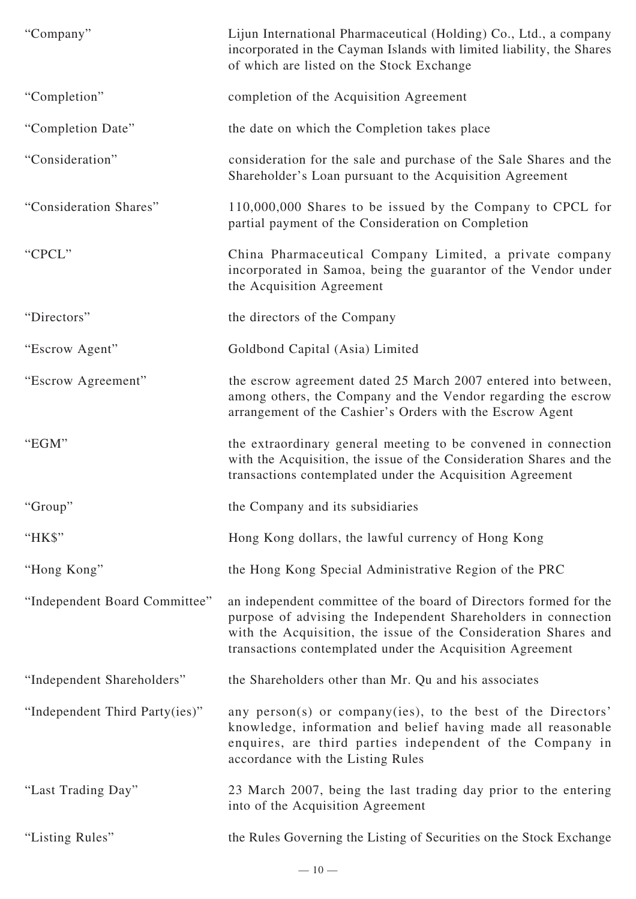| "Company"                      | Lijun International Pharmaceutical (Holding) Co., Ltd., a company<br>incorporated in the Cayman Islands with limited liability, the Shares<br>of which are listed on the Stock Exchange                                                                             |
|--------------------------------|---------------------------------------------------------------------------------------------------------------------------------------------------------------------------------------------------------------------------------------------------------------------|
| "Completion"                   | completion of the Acquisition Agreement                                                                                                                                                                                                                             |
| "Completion Date"              | the date on which the Completion takes place                                                                                                                                                                                                                        |
| "Consideration"                | consideration for the sale and purchase of the Sale Shares and the<br>Shareholder's Loan pursuant to the Acquisition Agreement                                                                                                                                      |
| "Consideration Shares"         | 110,000,000 Shares to be issued by the Company to CPCL for<br>partial payment of the Consideration on Completion                                                                                                                                                    |
| "CPCL"                         | China Pharmaceutical Company Limited, a private company<br>incorporated in Samoa, being the guarantor of the Vendor under<br>the Acquisition Agreement                                                                                                              |
| "Directors"                    | the directors of the Company                                                                                                                                                                                                                                        |
| "Escrow Agent"                 | Goldbond Capital (Asia) Limited                                                                                                                                                                                                                                     |
| "Escrow Agreement"             | the escrow agreement dated 25 March 2007 entered into between,<br>among others, the Company and the Vendor regarding the escrow<br>arrangement of the Cashier's Orders with the Escrow Agent                                                                        |
| "EGM"                          | the extraordinary general meeting to be convened in connection<br>with the Acquisition, the issue of the Consideration Shares and the<br>transactions contemplated under the Acquisition Agreement                                                                  |
| "Group"                        | the Company and its subsidiaries                                                                                                                                                                                                                                    |
| "HK\$"                         | Hong Kong dollars, the lawful currency of Hong Kong                                                                                                                                                                                                                 |
| "Hong Kong"                    | the Hong Kong Special Administrative Region of the PRC                                                                                                                                                                                                              |
| "Independent Board Committee"  | an independent committee of the board of Directors formed for the<br>purpose of advising the Independent Shareholders in connection<br>with the Acquisition, the issue of the Consideration Shares and<br>transactions contemplated under the Acquisition Agreement |
| "Independent Shareholders"     | the Shareholders other than Mr. Qu and his associates                                                                                                                                                                                                               |
| "Independent Third Party(ies)" | any person(s) or company(ies), to the best of the Directors'<br>knowledge, information and belief having made all reasonable<br>enquires, are third parties independent of the Company in<br>accordance with the Listing Rules                                      |
| "Last Trading Day"             | 23 March 2007, being the last trading day prior to the entering<br>into of the Acquisition Agreement                                                                                                                                                                |
| "Listing Rules"                | the Rules Governing the Listing of Securities on the Stock Exchange                                                                                                                                                                                                 |